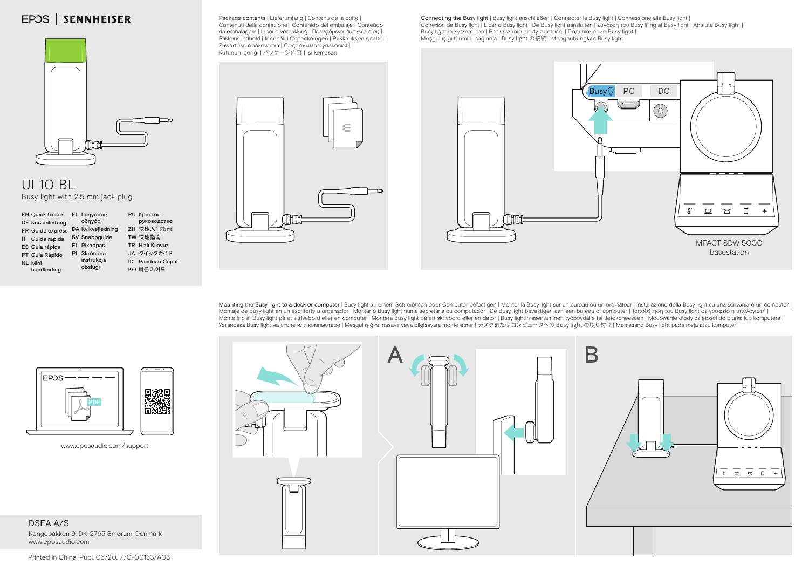## **EPOS | SENNHEISER**

Package contents | Lieferumfang | Contenu de la boîte | Contenuti della confezione | Contenido del embalaje | Conteúdo da embalagem | Inhoud verpakking | Περιεχόμενα συσκευασίας | Pakkens indhold | Innehåll i förpackningen | Pakkauksen sisältö | Zawartość opakowania | Содержимое упаковки | Kutunun içeriği | パッケージ内容 | Isi kemasan

Connecting the Busy light | Busy light anschließen | Connecter la Busy light | Connessione alla Busy light | Conexión de Busy light | Ligar o Busy light | De Busy light aansluiten | Σύνδεση του Busy li ing af Busy light | Ansluta Busy light |<br>Busy light in kytkeminen | Podłączanie diody zajętości | Ποдключение Busy light | Meşgul ışığı birimini bağlama | Busy light の接続 | Menghubungkan Busy light



## UI 10 BL Busy light with 2.5 mm jack plug





Mounting the Busy light to a desk or computer | Busy light an einem Schreibtisch oder Computer befestigen | Monter la Busy light sur un bureau ou un ordinateur | Installazione della Busy light su una scrivania o un compute Montaje de Busy light en un escritorio u ordenador | Montar o Busy light numa secretária ou computador | De Busy light bevestigen aan een bureau of computer | Τοποθέτηση του Busy light σε γραφείο ή υπολογιστή | Montering af Busy light på et skrivebord eller en computer | Montera Busy light på ett skrivbord eller en dator | Busy lightin asentaminen työpöydälle tai tietokoneeseen | Mocowanie diody zajętości do biurka lub komputera Установка Busy light на столе или компьютере | Meşgul ışığını masaya veya bilgisayara monte etme | デスクまたはコンピュータへの Busy light の取り付け | Memasang Busy light pada meja atau komputer



www.eposaudio.com/support

DSEA A/S Kongebakken 9, DK-2765 Smørum, Denmark www.eposaudio.com



Printed in China, Publ. 06/20, 770-00133/A03